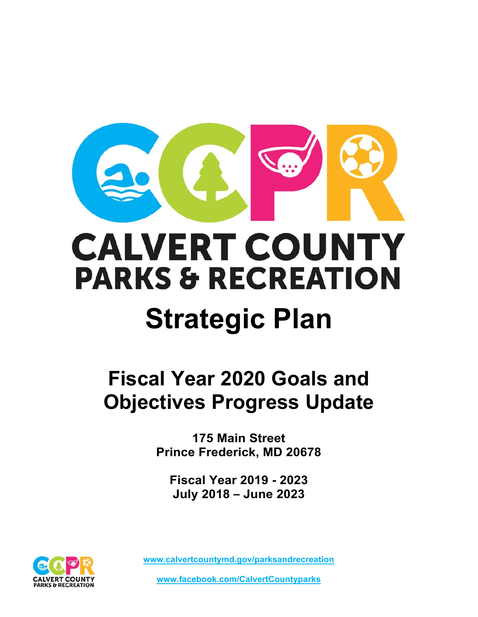

# **CALVERT COUNTY PARKS & RECREATION**

## **Strategic Plan**

### **Fiscal Year 2020 Goals and Objectives Progress Update**

**175 Main Street Prince Frederick, MD 20678** 

**Fiscal Year 2019 - 2023 July 2018 – June 2023** 

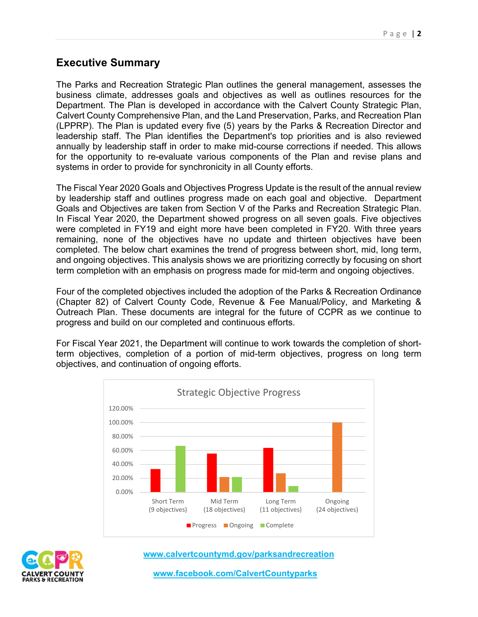#### **Executive Summary**

The Parks and Recreation Strategic Plan outlines the general management, assesses the business climate, addresses goals and objectives as well as outlines resources for the Department. The Plan is developed in accordance with the Calvert County Strategic Plan, Calvert County Comprehensive Plan, and the Land Preservation, Parks, and Recreation Plan (LPPRP). The Plan is updated every five (5) years by the Parks & Recreation Director and leadership staff. The Plan identifies the Department's top priorities and is also reviewed annually by leadership staff in order to make mid-course corrections if needed. This allows for the opportunity to re-evaluate various components of the Plan and revise plans and systems in order to provide for synchronicity in all County efforts.

The Fiscal Year 2020 Goals and Objectives Progress Update is the result of the annual review by leadership staff and outlines progress made on each goal and objective. Department Goals and Objectives are taken from Section V of the Parks and Recreation Strategic Plan. In Fiscal Year 2020, the Department showed progress on all seven goals. Five objectives were completed in FY19 and eight more have been completed in FY20. With three years remaining, none of the objectives have no update and thirteen objectives have been completed. The below chart examines the trend of progress between short, mid, long term, and ongoing objectives. This analysis shows we are prioritizing correctly by focusing on short term completion with an emphasis on progress made for mid-term and ongoing objectives.

Four of the completed objectives included the adoption of the Parks & Recreation Ordinance (Chapter 82) of Calvert County Code, Revenue & Fee Manual/Policy, and Marketing & Outreach Plan. These documents are integral for the future of CCPR as we continue to progress and build on our completed and continuous efforts.

For Fiscal Year 2021, the Department will continue to work towards the completion of shortterm objectives, completion of a portion of mid-term objectives, progress on long term objectives, and continuation of ongoing efforts.





**www.calvertcountymd.gov/parksandrecreation** 

**www.facebook.com/CalvertCountyparks**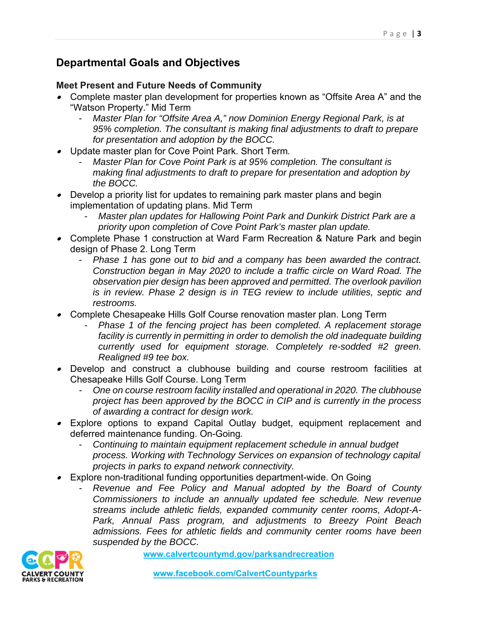#### **Departmental Goals and Objectives**

#### **Meet Present and Future Needs of Community**

- Complete master plan development for properties known as "Offsite Area A" and the "Watson Property." Mid Term
	- *Master Plan for "Offsite Area A," now Dominion Energy Regional Park, is at 95% completion. The consultant is making final adjustments to draft to prepare for presentation and adoption by the BOCC.*
- Update master plan for Cove Point Park. Short Term*.*
	- *Master Plan for Cove Point Park is at 95% completion. The consultant is making final adjustments to draft to prepare for presentation and adoption by the BOCC.*
- Develop a priority list for updates to remaining park master plans and begin implementation of updating plans. Mid Term
	- *Master plan updates for Hallowing Point Park and Dunkirk District Park are a priority upon completion of Cove Point Park's master plan update.*
- Complete Phase 1 construction at Ward Farm Recreation & Nature Park and begin design of Phase 2. Long Term
	- *Phase 1 has gone out to bid and a company has been awarded the contract. Construction began in May 2020 to include a traffic circle on Ward Road. The observation pier design has been approved and permitted. The overlook pavilion is in review. Phase 2 design is in TEG review to include utilities, septic and restrooms.*
- ∙ Complete Chesapeake Hills Golf Course renovation master plan. Long Term
	- *Phase 1 of the fencing project has been completed. A replacement storage facility is currently in permitting in order to demolish the old inadequate building currently used for equipment storage. Completely re-sodded #2 green. Realigned #9 tee box.*
- Develop and construct a clubhouse building and course restroom facilities at Chesapeake Hills Golf Course. Long Term
	- *One on course restroom facility installed and operational in 2020. The clubhouse project has been approved by the BOCC in CIP and is currently in the process of awarding a contract for design work.*
- Explore options to expand Capital Outlay budget, equipment replacement and deferred maintenance funding. On-Going*.*
	- *Continuing to maintain equipment replacement schedule in annual budget process. Working with Technology Services on expansion of technology capital projects in parks to expand network connectivity.*
- Explore non-traditional funding opportunities department-wide. On Going
	- *Revenue and Fee Policy and Manual adopted by the Board of County Commissioners to include an annually updated fee schedule. New revenue streams include athletic fields, expanded community center rooms, Adopt-A-Park, Annual Pass program, and adjustments to Breezy Point Beach admissions. Fees for athletic fields and community center rooms have been suspended by the BOCC.*

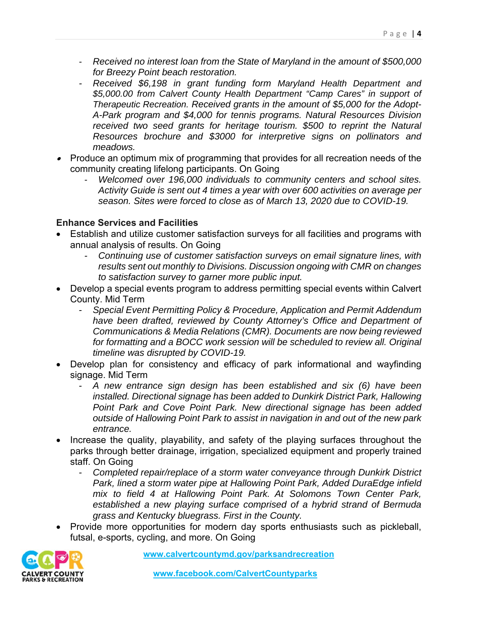- *Received no interest loan from the State of Maryland in the amount of \$500,000 for Breezy Point beach restoration.*
- *Received \$6,198 in grant funding form Maryland Health Department and \$5,000.00 from Calvert County Health Department "Camp Cares" in support of Therapeutic Recreation. Received grants in the amount of \$5,000 for the Adopt-A-Park program and \$4,000 for tennis programs. Natural Resources Division received two seed grants for heritage tourism. \$500 to reprint the Natural Resources brochure and \$3000 for interpretive signs on pollinators and meadows.*
- Produce an optimum mix of programming that provides for all recreation needs of the community creating lifelong participants. On Going
	- *Welcomed over 196,000 individuals to community centers and school sites. Activity Guide is sent out 4 times a year with over 600 activities on average per season. Sites were forced to close as of March 13, 2020 due to COVID-19.*

#### **Enhance Services and Facilities**

- Establish and utilize customer satisfaction surveys for all facilities and programs with annual analysis of results. On Going
	- *Continuing use of customer satisfaction surveys on email signature lines, with results sent out monthly to Divisions. Discussion ongoing with CMR on changes to satisfaction survey to garner more public input.*
- Develop a special events program to address permitting special events within Calvert County. Mid Term
	- *Special Event Permitting Policy & Procedure, Application and Permit Addendum*  have been drafted, reviewed by County Attorney's Office and Department of *Communications & Media Relations (CMR). Documents are now being reviewed for formatting and a BOCC work session will be scheduled to review all. Original timeline was disrupted by COVID-19.*
- Develop plan for consistency and efficacy of park informational and wayfinding signage. Mid Term
	- *A new entrance sign design has been established and six (6) have been installed. Directional signage has been added to Dunkirk District Park, Hallowing Point Park and Cove Point Park. New directional signage has been added outside of Hallowing Point Park to assist in navigation in and out of the new park entrance.*
- Increase the quality, playability, and safety of the playing surfaces throughout the parks through better drainage, irrigation, specialized equipment and properly trained staff. On Going
	- *Completed repair/replace of a storm water conveyance through Dunkirk District Park, lined a storm water pipe at Hallowing Point Park, Added DuraEdge infield mix to field 4 at Hallowing Point Park. At Solomons Town Center Park, established a new playing surface comprised of a hybrid strand of Bermuda grass and Kentucky bluegrass. First in the County.*
- Provide more opportunities for modern day sports enthusiasts such as pickleball, futsal, e-sports, cycling, and more. On Going

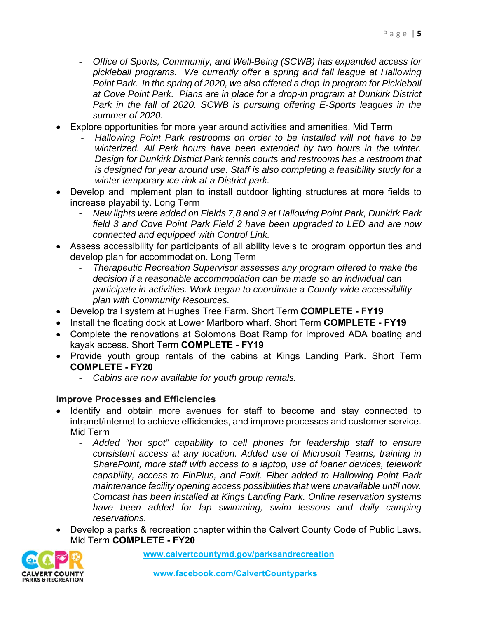- *Office of Sports, Community, and Well-Being (SCWB) has expanded access for pickleball programs. We currently offer a spring and fall league at Hallowing Point Park. In the spring of 2020, we also offered a drop-in program for Pickleball at Cove Point Park. Plans are in place for a drop-in program at Dunkirk District Park in the fall of 2020. SCWB is pursuing offering E-Sports leagues in the summer of 2020.*
- Explore opportunities for more year around activities and amenities. Mid Term
	- *Hallowing Point Park restrooms on order to be installed will not have to be winterized. All Park hours have been extended by two hours in the winter. Design for Dunkirk District Park tennis courts and restrooms has a restroom that is designed for year around use. Staff is also completing a feasibility study for a winter temporary ice rink at a District park.*
- Develop and implement plan to install outdoor lighting structures at more fields to increase playability. Long Term
	- *New lights were added on Fields 7,8 and 9 at Hallowing Point Park, Dunkirk Park field 3 and Cove Point Park Field 2 have been upgraded to LED and are now connected and equipped with Control Link.*
- Assess accessibility for participants of all ability levels to program opportunities and develop plan for accommodation. Long Term
	- *Therapeutic Recreation Supervisor assesses any program offered to make the decision if a reasonable accommodation can be made so an individual can participate in activities. Work began to coordinate a County-wide accessibility plan with Community Resources.*
- Develop trail system at Hughes Tree Farm. Short Term **COMPLETE FY19**
- Install the floating dock at Lower Marlboro wharf. Short Term **COMPLETE FY19**
- Complete the renovations at Solomons Boat Ramp for improved ADA boating and kayak access. Short Term **COMPLETE - FY19**
- Provide youth group rentals of the cabins at Kings Landing Park. Short Term **COMPLETE - FY20**
	- *Cabins are now available for youth group rentals.*

#### **Improve Processes and Efficiencies**

- Identify and obtain more avenues for staff to become and stay connected to intranet/internet to achieve efficiencies, and improve processes and customer service. Mid Term
	- *Added "hot spot" capability to cell phones for leadership staff to ensure consistent access at any location. Added use of Microsoft Teams, training in SharePoint, more staff with access to a laptop, use of loaner devices, telework capability, access to FinPlus, and Foxit. Fiber added to Hallowing Point Park maintenance facility opening access possibilities that were unavailable until now. Comcast has been installed at Kings Landing Park. Online reservation systems have been added for lap swimming, swim lessons and daily camping reservations.*
- Develop a parks & recreation chapter within the Calvert County Code of Public Laws. Mid Term **COMPLETE - FY20**

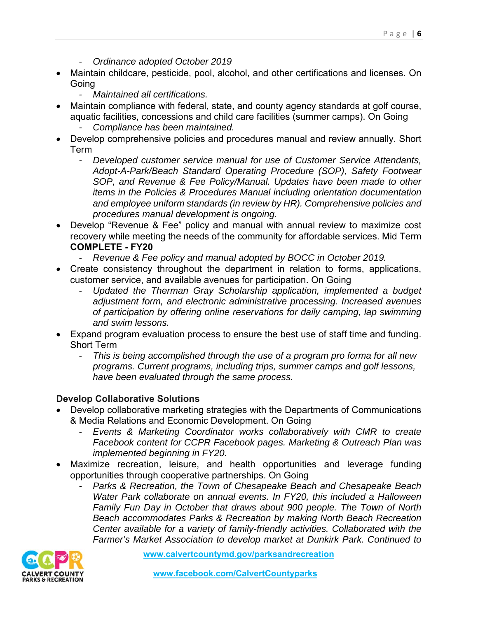- *Ordinance adopted October 2019*
- Maintain childcare, pesticide, pool, alcohol, and other certifications and licenses. On Going
	- *Maintained all certifications.*
- Maintain compliance with federal, state, and county agency standards at golf course, aquatic facilities, concessions and child care facilities (summer camps). On Going
	- *Compliance has been maintained.*
- Develop comprehensive policies and procedures manual and review annually. Short Term
	- *Developed customer service manual for use of Customer Service Attendants, Adopt-A-Park/Beach Standard Operating Procedure (SOP), Safety Footwear SOP, and Revenue & Fee Policy/Manual. Updates have been made to other items in the Policies & Procedures Manual including orientation documentation and employee uniform standards (in review by HR). Comprehensive policies and procedures manual development is ongoing.*
- Develop "Revenue & Fee" policy and manual with annual review to maximize cost recovery while meeting the needs of the community for affordable services. Mid Term **COMPLETE - FY20**
	- *Revenue & Fee policy and manual adopted by BOCC in October 2019.*
- Create consistency throughout the department in relation to forms, applications, customer service, and available avenues for participation. On Going
	- *Updated the Therman Gray Scholarship application, implemented a budget adjustment form, and electronic administrative processing. Increased avenues of participation by offering online reservations for daily camping, lap swimming and swim lessons.*
- Expand program evaluation process to ensure the best use of staff time and funding. Short Term
	- *This is being accomplished through the use of a program pro forma for all new programs. Current programs, including trips, summer camps and golf lessons, have been evaluated through the same process.*

#### **Develop Collaborative Solutions**

- Develop collaborative marketing strategies with the Departments of Communications & Media Relations and Economic Development. On Going
	- *Events & Marketing Coordinator works collaboratively with CMR to create Facebook content for CCPR Facebook pages. Marketing & Outreach Plan was implemented beginning in FY20.*
- Maximize recreation, leisure, and health opportunities and leverage funding opportunities through cooperative partnerships. On Going
	- *Parks & Recreation, the Town of Chesapeake Beach and Chesapeake Beach Water Park collaborate on annual events. In FY20, this included a Halloween Family Fun Day in October that draws about 900 people. The Town of North Beach accommodates Parks & Recreation by making North Beach Recreation Center available for a variety of family-friendly activities. Collaborated with the Farmer's Market Association to develop market at Dunkirk Park. Continued to*

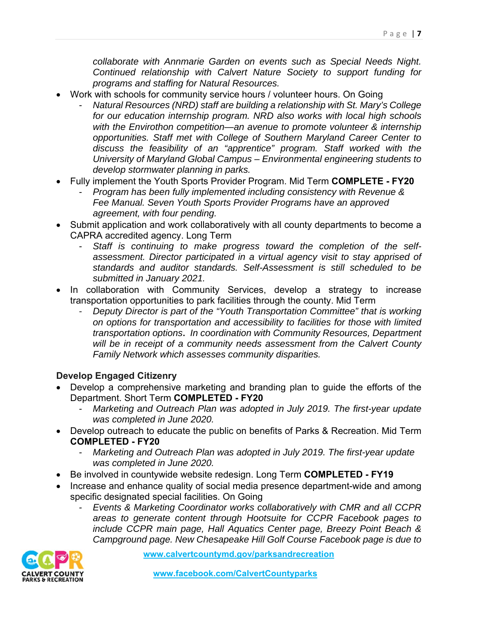*collaborate with Annmarie Garden on events such as Special Needs Night. Continued relationship with Calvert Nature Society to support funding for programs and staffing for Natural Resources.* 

- Work with schools for community service hours / volunteer hours. On Going
	- *Natural Resources (NRD) staff are building a relationship with St. Mary's College for our education internship program. NRD also works with local high schools with the Envirothon competition—an avenue to promote volunteer & internship opportunities. Staff met with College of Southern Maryland Career Center to discuss the feasibility of an "apprentice" program. Staff worked with the University of Maryland Global Campus – Environmental engineering students to develop stormwater planning in parks.*
- Fully implement the Youth Sports Provider Program. Mid Term **COMPLETE FY20**
	- *Program has been fully implemented including consistency with Revenue & Fee Manual. Seven Youth Sports Provider Programs have an approved agreement, with four pending.*
- Submit application and work collaboratively with all county departments to become a CAPRA accredited agency. Long Term
	- *Staff is continuing to make progress toward the completion of the selfassessment. Director participated in a virtual agency visit to stay apprised of standards and auditor standards. Self-Assessment is still scheduled to be submitted in January 2021.*
- In collaboration with Community Services, develop a strategy to increase transportation opportunities to park facilities through the county. Mid Term
	- *Deputy Director is part of the "Youth Transportation Committee" that is working on options for transportation and accessibility to facilities for those with limited transportation options***.** *In coordination with Community Resources, Department will be in receipt of a community needs assessment from the Calvert County Family Network which assesses community disparities.*

#### **Develop Engaged Citizenry**

- Develop a comprehensive marketing and branding plan to guide the efforts of the Department. Short Term **COMPLETED - FY20**
	- *Marketing and Outreach Plan was adopted in July 2019. The first-year update was completed in June 2020.*
- Develop outreach to educate the public on benefits of Parks & Recreation. Mid Term **COMPLETED - FY20**
	- *Marketing and Outreach Plan was adopted in July 2019. The first-year update was completed in June 2020.*
- Be involved in countywide website redesign. Long Term **COMPLETED FY19**
- Increase and enhance quality of social media presence department-wide and among specific designated special facilities. On Going
	- *Events & Marketing Coordinator works collaboratively with CMR and all CCPR areas to generate content through Hootsuite for CCPR Facebook pages to include CCPR main page, Hall Aquatics Center page, Breezy Point Beach & Campground page. New Chesapeake Hill Golf Course Facebook page is due to*

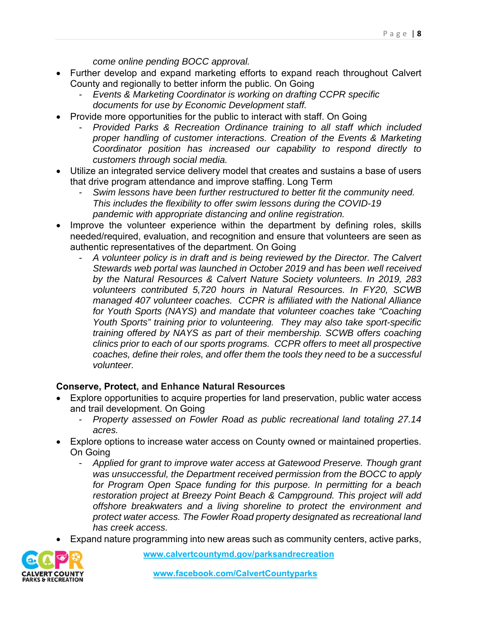- Further develop and expand marketing efforts to expand reach throughout Calvert County and regionally to better inform the public. On Going
	- *Events & Marketing Coordinator is working on drafting CCPR specific documents for use by Economic Development staff.*
- Provide more opportunities for the public to interact with staff. On Going
	- *Provided Parks & Recreation Ordinance training to all staff which included proper handling of customer interactions. Creation of the Events & Marketing Coordinator position has increased our capability to respond directly to customers through social media.*
- Utilize an integrated service delivery model that creates and sustains a base of users that drive program attendance and improve staffing. Long Term
	- *Swim lessons have been further restructured to better fit the community need. This includes the flexibility to offer swim lessons during the COVID-19 pandemic with appropriate distancing and online registration.*
- Improve the volunteer experience within the department by defining roles, skills needed/required, evaluation, and recognition and ensure that volunteers are seen as authentic representatives of the department. On Going
	- *A volunteer policy is in draft and is being reviewed by the Director. The Calvert Stewards web portal was launched in October 2019 and has been well received by the Natural Resources & Calvert Nature Society volunteers. In 2019, 283 volunteers contributed 5,720 hours in Natural Resources. In FY20, SCWB managed 407 volunteer coaches. CCPR is affiliated with the National Alliance for Youth Sports (NAYS) and mandate that volunteer coaches take "Coaching Youth Sports" training prior to volunteering. They may also take sport-specific training offered by NAYS as part of their membership. SCWB offers coaching clinics prior to each of our sports programs. CCPR offers to meet all prospective coaches, define their roles, and offer them the tools they need to be a successful volunteer.*

#### **Conserve, Protect, and Enhance Natural Resources**

- Explore opportunities to acquire properties for land preservation, public water access and trail development. On Going
	- *Property assessed on Fowler Road as public recreational land totaling 27.14 acres.*
- Explore options to increase water access on County owned or maintained properties. On Going
	- *Applied for grant to improve water access at Gatewood Preserve. Though grant was unsuccessful, the Department received permission from the BOCC to apply for Program Open Space funding for this purpose. In permitting for a beach restoration project at Breezy Point Beach & Campground. This project will add offshore breakwaters and a living shoreline to protect the environment and protect water access. The Fowler Road property designated as recreational land has creek access.*
- Expand nature programming into new areas such as community centers, active parks,

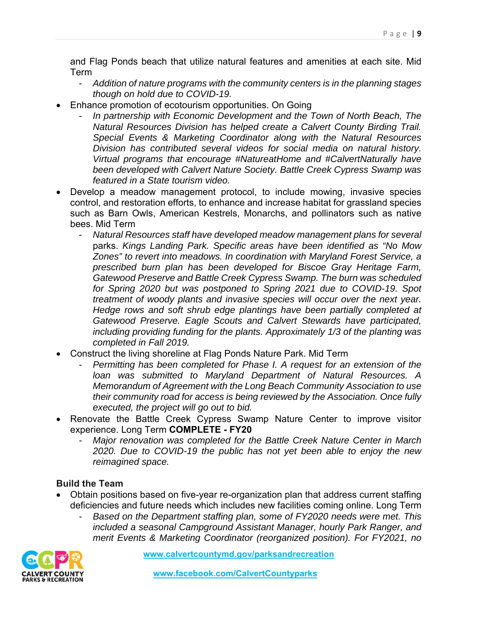and Flag Ponds beach that utilize natural features and amenities at each site. Mid Term

- *Addition of nature programs with the community centers is in the planning stages though on hold due to COVID-19.*
- Enhance promotion of ecotourism opportunities. On Going
	- *In partnership with Economic Development and the Town of North Beach, The Natural Resources Division has helped create a Calvert County Birding Trail. Special Events & Marketing Coordinator along with the Natural Resources Division has contributed several videos for social media on natural history. Virtual programs that encourage #NatureatHome and #CalvertNaturally have been developed with Calvert Nature Society. Battle Creek Cypress Swamp was featured in a State tourism video.*
- Develop a meadow management protocol, to include mowing, invasive species control, and restoration efforts, to enhance and increase habitat for grassland species such as Barn Owls, American Kestrels, Monarchs, and pollinators such as native bees. Mid Term
	- *Natural Resources staff have developed meadow management plans for several*  parks. *Kings Landing Park. Specific areas have been identified as "No Mow Zones" to revert into meadows. In coordination with Maryland Forest Service, a prescribed burn plan has been developed for Biscoe Gray Heritage Farm, Gatewood Preserve and Battle Creek Cypress Swamp. The burn was scheduled for Spring 2020 but was postponed to Spring 2021 due to COVID-19. Spot treatment of woody plants and invasive species will occur over the next year. Hedge rows and soft shrub edge plantings have been partially completed at Gatewood Preserve. Eagle Scouts and Calvert Stewards have participated, including providing funding for the plants. Approximately 1/3 of the planting was completed in Fall 2019.*
- Construct the living shoreline at Flag Ponds Nature Park. Mid Term
	- *Permitting has been completed for Phase I. A request for an extension of the loan was submitted to Maryland Department of Natural Resources. A Memorandum of Agreement with the Long Beach Community Association to use their community road for access is being reviewed by the Association. Once fully executed, the project will go out to bid.*
- Renovate the Battle Creek Cypress Swamp Nature Center to improve visitor experience. Long Term **COMPLETE - FY20**
	- *Major renovation was completed for the Battle Creek Nature Center in March 2020. Due to COVID-19 the public has not yet been able to enjoy the new reimagined space.*

#### **Build the Team**

- Obtain positions based on five-year re-organization plan that address current staffing deficiencies and future needs which includes new facilities coming online. Long Term
	- *Based on the Department staffing plan, some of FY2020 needs were met. This included a seasonal Campground Assistant Manager, hourly Park Ranger, and merit Events & Marketing Coordinator (reorganized position). For FY2021, no*

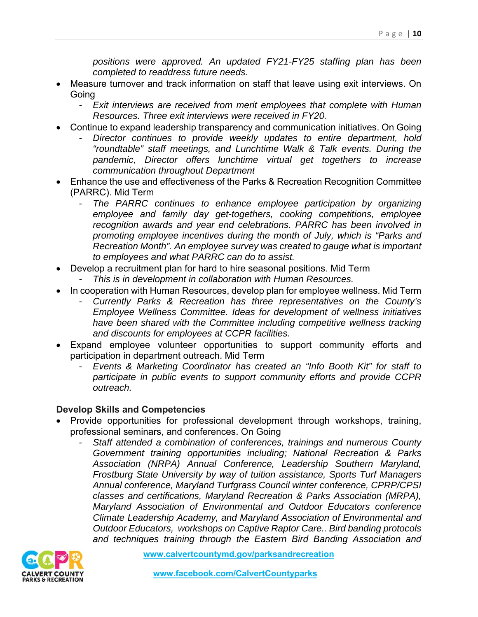*positions were approved. An updated FY21-FY25 staffing plan has been completed to readdress future needs.* 

- Measure turnover and track information on staff that leave using exit interviews. On Going
	- **Exit interviews are received from merit employees that complete with Human** *Resources. Three exit interviews were received in FY20.*
- Continue to expand leadership transparency and communication initiatives. On Going
	- *Director continues to provide weekly updates to entire department, hold "roundtable" staff meetings, and Lunchtime Walk & Talk events. During the pandemic, Director offers lunchtime virtual get togethers to increase communication throughout Department*
- Enhance the use and effectiveness of the Parks & Recreation Recognition Committee (PARRC). Mid Term
	- *The PARRC continues to enhance employee participation by organizing employee and family day get-togethers, cooking competitions, employee recognition awards and year end celebrations. PARRC has been involved in promoting employee incentives during the month of July, which is "Parks and Recreation Month". An employee survey was created to gauge what is important to employees and what PARRC can do to assist.*
- Develop a recruitment plan for hard to hire seasonal positions. Mid Term
	- *This is in development in collaboration with Human Resources.*
- In cooperation with Human Resources, develop plan for employee wellness. Mid Term
	- *Currently Parks & Recreation has three representatives on the County's Employee Wellness Committee. Ideas for development of wellness initiatives have been shared with the Committee including competitive wellness tracking and discounts for employees at CCPR facilities.*
- Expand employee volunteer opportunities to support community efforts and participation in department outreach. Mid Term
	- *Events & Marketing Coordinator has created an "Info Booth Kit" for staff to participate in public events to support community efforts and provide CCPR outreach.*

#### **Develop Skills and Competencies**

- Provide opportunities for professional development through workshops, training, professional seminars, and conferences. On Going
	- *Staff attended a combination of conferences, trainings and numerous County Government training opportunities including; National Recreation & Parks Association (NRPA) Annual Conference, Leadership Southern Maryland, Frostburg State University by way of tuition assistance, Sports Turf Managers Annual conference, Maryland Turfgrass Council winter conference, CPRP/CPSI classes and certifications, Maryland Recreation & Parks Association (MRPA), Maryland Association of Environmental and Outdoor Educators conference Climate Leadership Academy, and Maryland Association of Environmental and Outdoor Educators, workshops on Captive Raptor Care.. Bird banding protocols and techniques training through the Eastern Bird Banding Association and*